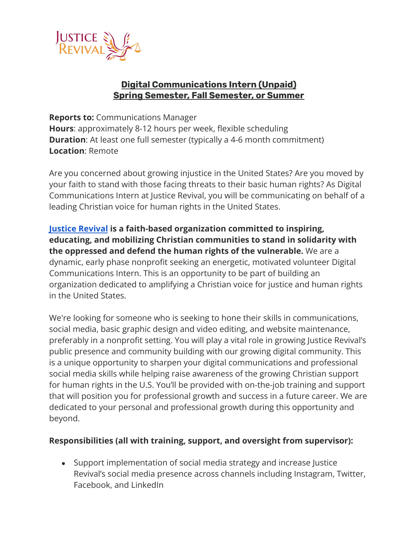

## **Digital Communications Intern (Unpaid) Spring Semester, Fall Semester, or Summer**

**Reports to:** Communications Manager **Hours**: approximately 8-12 hours per week, flexible scheduling **Duration:** At least one full semester (typically a 4-6 month commitment) **Location**: Remote

Are you concerned about growing injustice in the United States? Are you moved by your faith to stand with those facing threats to their basic human rights? As Digital Communications Intern at Justice Revival, you will be communicating on behalf of a leading Christian voice for human rights in the United States.

**[Justice Revival](https://justicerevival.org/) is a faith-based organization committed to inspiring, educating, and mobilizing Christian communities to stand in solidarity with the oppressed and defend the human rights of the vulnerable.** We are a dynamic, early phase nonprofit seeking an energetic, motivated volunteer Digital Communications Intern. This is an opportunity to be part of building an organization dedicated to amplifying a Christian voice for justice and human rights in the United States.

We're looking for someone who is seeking to hone their skills in communications, social media, basic graphic design and video editing, and website maintenance, preferably in a nonprofit setting. You will play a vital role in growing Justice Revival's public presence and community building with our growing digital community. This is a unique opportunity to sharpen your digital communications and professional social media skills while helping raise awareness of the growing Christian support for human rights in the U.S. You'll be provided with on-the-job training and support that will position you for professional growth and success in a future career. We are dedicated to your personal and professional growth during this opportunity and beyond.

## **Responsibilities (all with training, support, and oversight from supervisor):**

• Support implementation of social media strategy and increase Justice Revival's social media presence across channels including Instagram, Twitter, Facebook, and LinkedIn